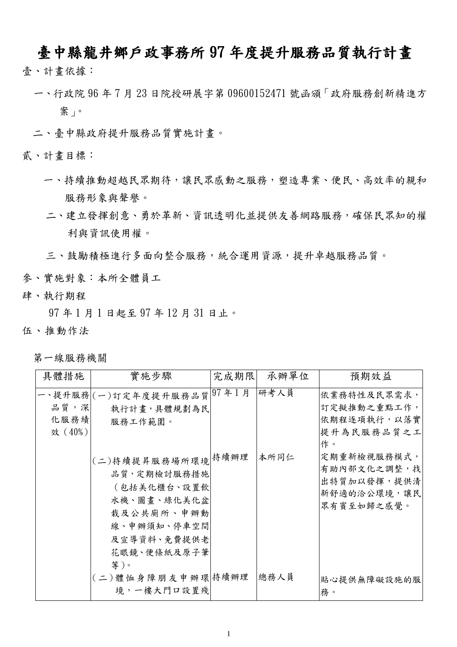## 臺中縣龍井鄉戶政事務所 97 年度提升服務品質執行計畫

- 壹、計畫依據:
	- 一、行政院 96年7月23日院授研展字第09600152471號函頒「政府服務創新精進方 案」。
	- 二、臺中縣政府提升服務品質實施計書。

貳、計書目標:

- 一、持續推動超越民眾期待,讓民眾感動之服務,塑造專業、便民、高效率的親和 服務形象與聲譽。
- 二、建立發揮創意、勇於革新、資訊透明化並提供友善網路服務,確保民眾知的權 利與資訊使用權。

三、鼓勵積極進行多面向整合服務,統合運用資源,提升卓越服務品質。

參、實施對象:本所全體員工

肆、執行期程

97年1月1日起至97年12月31日止。

- 伍、推動作法
	- 第一線服務機關

| 具體措施                      | 實施步驟                                                                                                                       | 完成期限 | 承辦單位 | 預期效益                                                                   |
|---------------------------|----------------------------------------------------------------------------------------------------------------------------|------|------|------------------------------------------------------------------------|
| 品質,深 <br>化服務績 <br>效 (40%) | -、提升服務 (一)訂定年度提升服務品質 97年1月<br>執行計畫,具體規劃為民<br>服務工作範圍。                                                                       |      | 研考人員 | 依業務特性及民眾需求,<br>訂定擬推動之重點工作,<br>依期程逐項執行,以落實<br>提升為民服務品質之工<br>作。          |
|                           | (二)持續提昇服務場所環境 持續辦理<br>品質,定期檢討服務措施<br>(包括美化櫃台、設置飲<br>水機、圖畫、綠化美化盆<br>栽及公共廁所、申辦動<br>線、申辦須知、停車空間<br>及宣導資料、免費提供老<br>花眼鏡、便條紙及原子筆 |      | 本所同仁 | 定期重新檢視服務模式,<br>有助內部文化之調整,找<br>出特質加以發揮,提供清<br>新舒適的洽公環境,讓民<br>眾有賓至如歸之感覺。 |
|                           | 等)。<br>(二)體恤身障朋友申辦環持續辦理<br>境,一樓大門口設置殘                                                                                      |      | 總務人員 | 貼心提供無障礙設施的服<br>務。                                                      |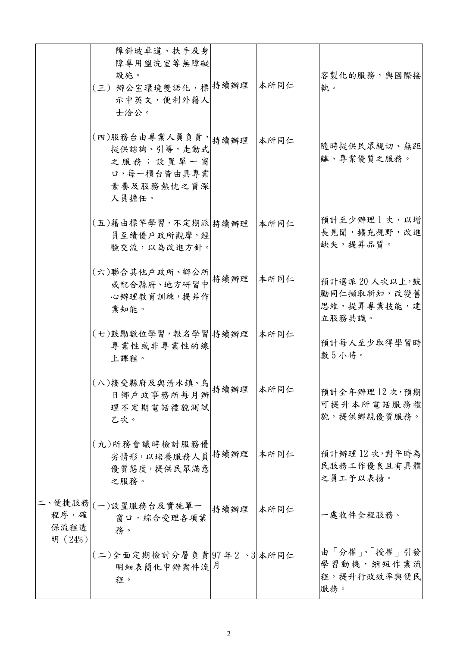|                         | 障斜坡車道、扶手及身<br>障專用盥洗室等無障礙<br>設施。<br>(三) 辦公室環境雙語化, 標 持續辦理<br>示中英文,便利外籍人<br>士洽公。         |      | 本所同仁 | <b>客製化的服務,與國際接</b><br>軌。                             |
|-------------------------|---------------------------------------------------------------------------------------|------|------|------------------------------------------------------|
|                         | (四)服務台由專業人員負責, 精續辦理<br>提供諮詢、引導,走動式<br>之服務;設置單一窗<br>口,每一櫃台皆由具專業<br>素養及服務熱忱之資深<br>人員擔任。 |      | 本所同仁 | 隨時提供民眾親切、無距<br>離、專業優質之服務。                            |
|                         | (五)藉由標竿學習,不定期派 持續辦理<br>員至績優戶政所觀摩,經<br>驗交流,以為改進方針。                                     |      | 本所同仁 | 預計至少辦理1次,以增<br>長見聞,擴充視野,改進<br>缺失,提昇品質。               |
|                         | (六)聯合其他戶政所、鄉公所<br>或配合縣府、地方研習中 <sup>特續辦理</sup><br>心辦理教育訓練,提昇作<br>業知能。                  |      | 本所同仁 | 預計選派20人次以上,鼓<br>勵同仁擷取新知,改變舊<br>思維,提昇專業技能,建<br>立服務共識。 |
|                         | (七)鼓勵數位學習,報名學習 持續辦理<br>專業性或非專業性的線<br>上課程。                                             |      | 本所同仁 | 預計每人至少取得學習時<br>數5小時。                                 |
|                         | (八)接受縣府及與清水鎮、鳥<br>日鄉戶政事務所每月辦 持續辦理<br>理不定期電話禮貌測試<br>乙次。                                |      | 本所同仁 | 預計全年辦理 12次,預期<br>可提升本所電話服務禮<br>貌,提供鄉親優質服務。           |
|                         | (九)所務會議時檢討服務優<br>劣情形,以培養服務人員持續辦理<br>優質態度,提供民眾滿意<br>之服務。                               |      | 本所同仁 | 預計辦理12次,對平時為<br>民服務工作優良且有具體<br>之員工予以表揚。              |
| 程序,確<br>保流程透<br>明 (24%) | 二、便捷服務 (一)設置服務台及實施單一<br>窗口,綜合受理各項業<br>務。                                              | 持續辦理 | 本所同仁 | 一處收件全程服務。                                            |
|                         | (二)全面定期檢討分層負責 97年2、3 本所同仁<br>明細表簡化申辦案件流 月<br>程。                                       |      |      | 由「分權」、「授權」引發<br>學習動機,縮短作業流<br>程,提升行政效率與便民<br>服務。     |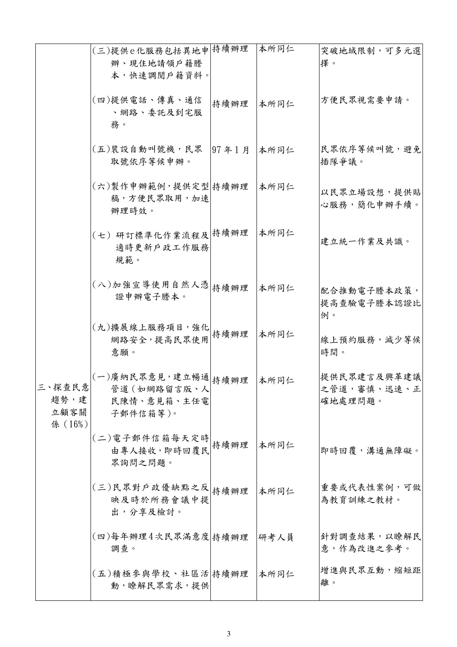|                                   | (三)提供e化服務包括異地申持續辦理<br>辦、現住地請領戶籍謄<br>本,快速調閱戶籍資料。                |       | 本所同仁 | 突破地域限制,可多元選<br>擇。                      |
|-----------------------------------|----------------------------------------------------------------|-------|------|----------------------------------------|
|                                   | (四)提供電話、傳真、通信<br>、網路、委託及到宅服<br>務。                              | 持續辦理  | 本所同仁 | 方便民眾視需要申請。                             |
|                                   | (五)裝設自動叫號機,民眾<br>取號依序等候申辦。                                     | 97年1月 | 本所同仁 | <b>民眾依序等候叫號,避免</b><br>插隊爭議。            |
| 三、探查民意<br>趨勢,建<br>立顧客關<br>係 (16%) | (六)製作申辦範例,提供定型 持續辦理<br>稿,方便民眾取用,加速<br>辦理時效。                    |       | 本所同仁 | 以民眾立場設想,提供貼<br>心服務,簡化申辦手續。             |
|                                   | (七)研訂標準化作業流程及 持續辦理<br>適時更新戶政工作服務<br>規範。                        |       | 本所同仁 | 建立統一作業及共識。                             |
|                                   | (八)加強宣導使用自然人憑 持續辦理<br>證申辦電子謄本。                                 |       | 本所同仁 | 配合推動電子謄本政策,<br>提高查驗電子謄本認證比<br>例。       |
|                                   | (九)擴展線上服務項目,強化<br>網路安全,提高民眾使用特續辦理<br>意願。                       |       | 本所同仁 | 線上預約服務,減少等候<br>時間。                     |
|                                   | (一)廣納民眾意見,建立暢通 持續辦理<br>管道 (如網路留言版、人<br>民陳情、意見箱、主任電<br>子郵件信箱等)。 |       | 本所同仁 | 提供民眾建言及興革建議<br>之管道,審慎、迅速、正 <br>確地處理問題。 |
|                                   | (二) 電子郵件信箱每天定時<br>由專人接收,即時回覆民特續辦理<br>眾詢問之問題。                   |       | 本所同仁 | 即時回覆,溝通無障礙。                            |
|                                   | (三)民眾對戶政優缺點之反 持續辦理<br>映及時於所務會議中提<br>出,分享及檢討。                   |       | 本所同仁 | 重要或代表性案例,可做<br>為教育訓練之教材。               |
|                                   | (四)每年辦理4次民眾滿意度 持續辦理<br>調查。                                     |       | 研考人員 | 針對調查結果,以瞭解民<br>意,作為改進之參考。              |
|                                   | (五)積極參與學校、社區活 持續辦理<br>動,瞭解民眾需求,提供                              |       | 本所同仁 | 增進與民眾互動,縮短距<br>離。                      |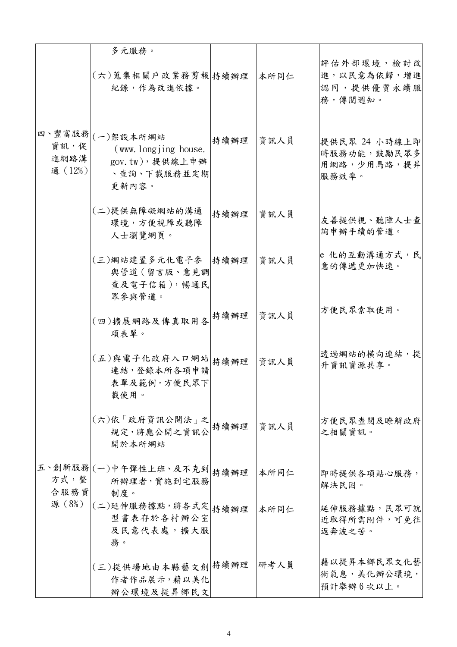|                        | 多元服務。<br>(六)蒐集相關戶政業務剪報 持續辦理<br>紀錄,作為改進依據。                                             |      | 本所同仁 | 評估外部環境,檢討改<br>進,以民意為依歸,增進<br>認同,提供優質永續服<br>務,傳閱週知。   |
|------------------------|---------------------------------------------------------------------------------------|------|------|------------------------------------------------------|
| 資訊,促<br>進網路溝<br>通(12%) | 四、豐富服務 (一)架設本所網站<br>$(www. longjing-house.$<br>gov.tw),提供線上申辦<br>、查詢、下載服務並定期<br>更新內容。 | 持續辦理 | 資訊人員 | 提供民眾 24 小時線上即<br>時服務功能,鼓勵民眾多<br>用網路,少用馬路,提昇<br>服務效率。 |
|                        | (二)提供無障礙網站的溝通<br>環境,方便視障或聽障<br>人士瀏覽網頁。                                                | 持續辦理 | 資訊人員 | 友善提供視、聽障人士查<br>詢申辦手續的管道。                             |
|                        | (三)網站建置多元化電子參  持續辦理<br>與管道 (留言版、意見調<br>查及電子信箱),暢通民<br>眾參與管道。                          |      | 資訊人員 | e 化的互動溝通方式, 民<br>意的傳遞更加快速。                           |
|                        | (四)擴展網路及傳真取用各 持續辦理<br>項表單。                                                            |      | 資訊人員 | 方便民眾索取使用。                                            |
|                        | (五)與電子化政府入口網站 持續辦理<br>連結,登錄本所各項申請<br>表單及範例,方便民眾下<br>載使用。                              |      | 資訊人員 | 透過網站的橫向連結,提<br>升資訊資源共享。                              |
|                        | (六)依「政府資訊公開法」之<br>規定,將應公開之資訊公<br>開於本所網站                                               | 持續辦理 | 資訊人員 | 方便民眾查閱及瞭解政府<br>之相關資訊。                                |
| 方式,整<br>合服務資           | 五、創新服務 (一)中午彈性上班、及不克到 持續辦理<br>所辦理者,實施到宅服務<br>制度。                                      |      | 本所同仁 | 即時提供各項貼心服務,<br>解決民困。                                 |
| 源 (8%)                 | (二)延伸服務據點,將各式定 持續辦理<br>型書表存於各村辦公室<br>及民意代表處,擴大服<br>務。                                 |      | 本所同仁 | 延伸服務據點,民眾可就<br>近取得所需附件,可免往<br>返奔波之苦。                 |
|                        | (三)提供場地由本縣藝文創持續辦理<br>作者作品展示,藉以美化<br>辦公環境及提昇鄉民文                                        |      | 研考人員 | 藉以提昇本鄉民眾文化藝<br>術氣息,美化辦公環境,<br>預計舉辦6次以上。              |